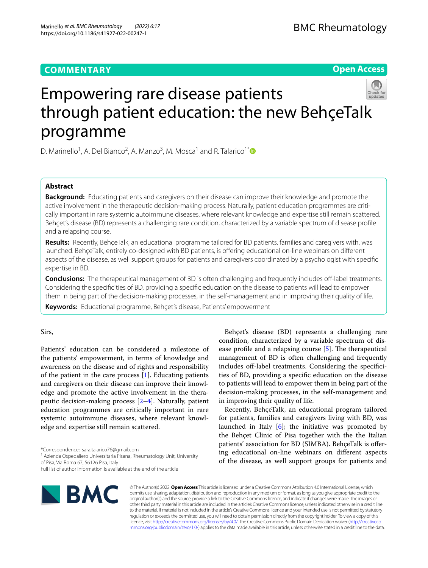# **COMMENTARY**

**Open Access**

# Empowering rare disease patients through patient education: the new BehçeTalk programme

D. Marinello<sup>1</sup>, A. Del Bianco<sup>2</sup>, A. Manzo<sup>3</sup>, M. Mosca<sup>1</sup> and R. Talarico<sup>1[\\*](http://orcid.org/0000-0003-4268-9611)</sup>

# **Abstract**

**Background:** Educating patients and caregivers on their disease can improve their knowledge and promote the active involvement in the therapeutic decision-making process. Naturally, patient education programmes are critically important in rare systemic autoimmune diseases, where relevant knowledge and expertise still remain scattered. Behçet's disease (BD) represents a challenging rare condition, characterized by a variable spectrum of disease profle and a relapsing course.

**Results:** Recently, BehçeTalk, an educational programme tailored for BD patients, families and caregivers with, was launched. BehçeTalk, entirely co-designed with BD patients, is ofering educational on-line webinars on diferent aspects of the disease, as well support groups for patients and caregivers coordinated by a psychologist with specifc expertise in BD.

**Conclusions:** The therapeutical management of BD is often challenging and frequently includes off-label treatments. Considering the specifcities of BD, providing a specifc education on the disease to patients will lead to empower them in being part of the decision-making processes, in the self-management and in improving their quality of life.

**Keywords:** Educational programme, Behçet's disease, Patients' empowerment

Sirs,

Patients' education can be considered a milestone of the patients' empowerment, in terms of knowledge and awareness on the disease and of rights and responsibility of the patient in the care process [\[1](#page-1-0)]. Educating patients and caregivers on their disease can improve their knowledge and promote the active involvement in the therapeutic decision-making process [\[2](#page-1-1)[–4\]](#page-1-2). Naturally, patient education programmes are critically important in rare systemic autoimmune diseases, where relevant knowledge and expertise still remain scattered.

Full list of author information is available at the end of the article



Behçet's disease (BD) represents a challenging rare condition, characterized by a variable spectrum of disease profile and a relapsing course  $[5]$  $[5]$ . The therapeutical management of BD is often challenging and frequently includes off-label treatments. Considering the specificities of BD, providing a specifc education on the disease to patients will lead to empower them in being part of the decision-making processes, in the self-management and in improving their quality of life.

Recently, BehçeTalk, an educational program tailored for patients, families and caregivers living with BD, was launched in Italy  $[6]$  $[6]$ ; the initiative was promoted by the Behçet Clinic of Pisa together with the the Italian patients' association for BD (SIMBA). BehçeTalk is ofering educational on-line webinars on diferent aspects of the disease, as well support groups for patients and

© The Author(s) 2022. **Open Access** This article is licensed under a Creative Commons Attribution 4.0 International License, which permits use, sharing, adaptation, distribution and reproduction in any medium or format, as long as you give appropriate credit to the original author(s) and the source, provide a link to the Creative Commons licence, and indicate if changes were made. The images or other third party material in this article are included in the article's Creative Commons licence, unless indicated otherwise in a credit line to the material. If material is not included in the article's Creative Commons licence and your intended use is not permitted by statutory regulation or exceeds the permitted use, you will need to obtain permission directly from the copyright holder. To view a copy of this licence, visit [http://creativecommons.org/licenses/by/4.0/.](http://creativecommons.org/licenses/by/4.0/) The Creative Commons Public Domain Dedication waiver ([http://creativeco](http://creativecommons.org/publicdomain/zero/1.0/) [mmons.org/publicdomain/zero/1.0/](http://creativecommons.org/publicdomain/zero/1.0/)) applies to the data made available in this article, unless otherwise stated in a credit line to the data.

<sup>\*</sup>Correspondence: sara.talarico76@gmail.com

<sup>&</sup>lt;sup>1</sup> Azienda Ospedaliero Universitaria Pisana, Rheumatology Unit, University of Pisa, Via Roma 67, 56126 Pisa, Italy